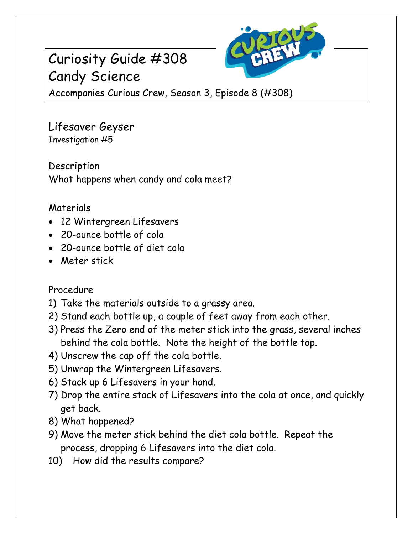# Curiosity Guide #308 Candy Science



Accompanies Curious Crew, Season 3, Episode 8 (#308)

Lifesaver Geyser Investigation #5

Description What happens when candy and cola meet?

## Materials

- 12 Wintergreen Lifesavers
- 20-ounce bottle of cola
- 20-ounce bottle of diet cola
- Meter stick

## Procedure

- 1) Take the materials outside to a grassy area.
- 2) Stand each bottle up, a couple of feet away from each other.
- 3) Press the Zero end of the meter stick into the grass, several inches behind the cola bottle. Note the height of the bottle top.
- 4) Unscrew the cap off the cola bottle.
- 5) Unwrap the Wintergreen Lifesavers.
- 6) Stack up 6 Lifesavers in your hand.
- 7) Drop the entire stack of Lifesavers into the cola at once, and quickly get back.
- 8) What happened?
- 9) Move the meter stick behind the diet cola bottle. Repeat the process, dropping 6 Lifesavers into the diet cola.
- 10) How did the results compare?